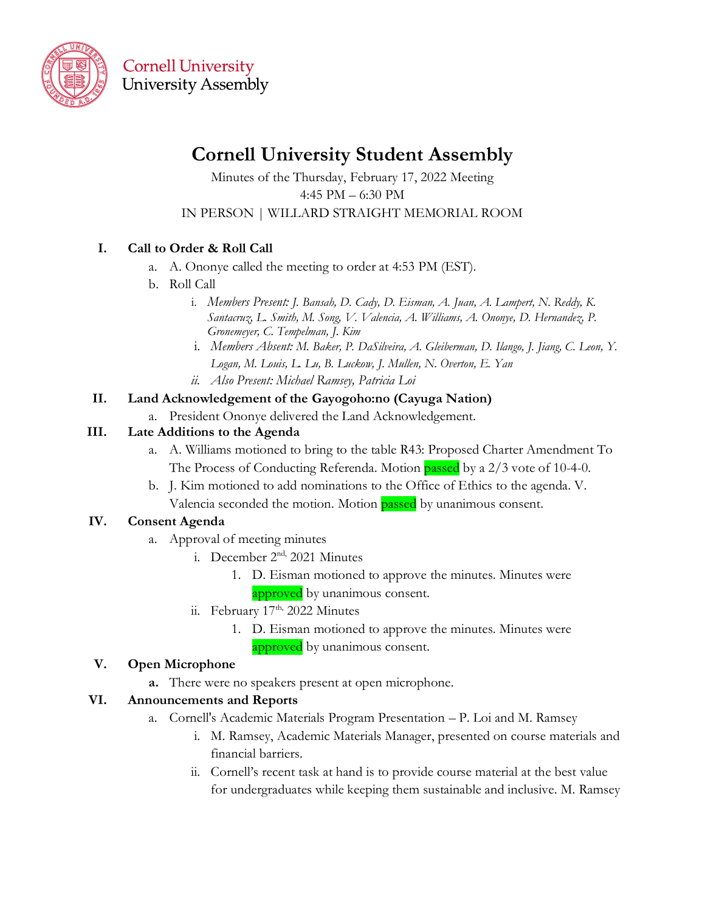

**Cornell University University Assembly** 

# **Cornell University Student Assembly**

Minutes of the Thursday, February 17, 2022 Meeting 4:45 PM – 6:30 PM IN PERSON | WILLARD STRAIGHT MEMORIAL ROOM

## **I. Call to Order & Roll Call**

- a. A. Ononye called the meeting to order at 4:53 PM (EST).
- b. Roll Call
	- i. *Members Present: J. Bansah, D. Cady, D. Eisman, A. Juan, A. Lampert, N. Reddy, K. Santacruz, L. Smith, M. Song, V. Valencia, A. Williams, A. Ononye, D. Hernandez, P. Gronemeyer, C. Tempelman, J. Kim*
	- i. *Members Absent: M. Baker, P. DaSilveira, A. Gleiberman, D. Ilango, J. Jiang, C. Leon, Y. Logan, M. Louis, L. Lu, B. Luckow, J. Mullen, N. Overton, E. Yan ii. Also Present: Michael Ramsey, Patricia Loi*

#### **II. Land Acknowledgement of the Gayogoho:no (Cayuga Nation)**

a. President Ononye delivered the Land Acknowledgement.

#### **III. Late Additions to the Agenda**

- a. A. Williams motioned to bring to the table R43: Proposed Charter Amendment To The Process of Conducting Referenda. Motion passed by a 2/3 vote of 10-4-0.
- b. J. Kim motioned to add nominations to the Office of Ethics to the agenda. V. Valencia seconded the motion. Motion passed by unanimous consent.

## **IV. Consent Agenda**

- a. Approval of meeting minutes
	- i. December 2<sup>nd,</sup> 2021 Minutes
		- 1. D. Eisman motioned to approve the minutes. Minutes were approved by unanimous consent.
	- ii. February 17<sup>th,</sup> 2022 Minutes
		- 1. D. Eisman motioned to approve the minutes. Minutes were approved by unanimous consent.

#### **V. Open Microphone**

**a.** There were no speakers present at open microphone.

#### **VI. Announcements and Reports**

- a. Cornell's Academic Materials Program Presentation P. Loi and M. Ramsey
	- i. M. Ramsey, Academic Materials Manager, presented on course materials and financial barriers.
	- ii. Cornell's recent task at hand is to provide course material at the best value for undergraduates while keeping them sustainable and inclusive. M. Ramsey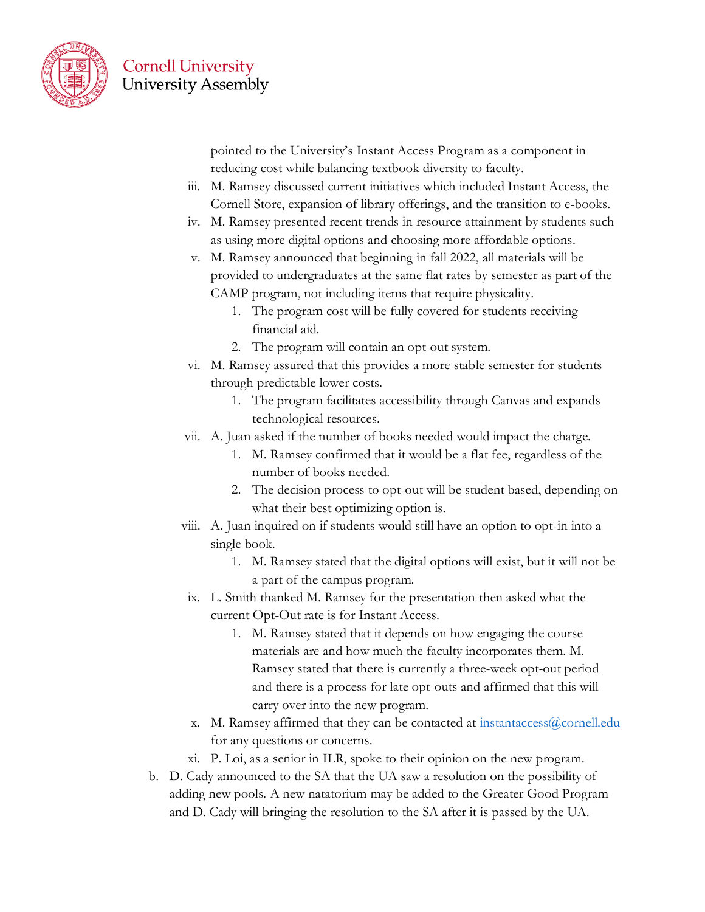

**Cornell University University Assembly** 

> pointed to the University's Instant Access Program as a component in reducing cost while balancing textbook diversity to faculty.

- iii. M. Ramsey discussed current initiatives which included Instant Access, the Cornell Store, expansion of library offerings, and the transition to e-books.
- iv. M. Ramsey presented recent trends in resource attainment by students such as using more digital options and choosing more affordable options.
- v. M. Ramsey announced that beginning in fall 2022, all materials will be provided to undergraduates at the same flat rates by semester as part of the CAMP program, not including items that require physicality.
	- 1. The program cost will be fully covered for students receiving financial aid.
	- 2. The program will contain an opt-out system.
- vi. M. Ramsey assured that this provides a more stable semester for students through predictable lower costs.
	- 1. The program facilitates accessibility through Canvas and expands technological resources.
- vii. A. Juan asked if the number of books needed would impact the charge.
	- 1. M. Ramsey confirmed that it would be a flat fee, regardless of the number of books needed.
	- 2. The decision process to opt-out will be student based, depending on what their best optimizing option is.
- viii. A. Juan inquired on if students would still have an option to opt-in into a single book.
	- 1. M. Ramsey stated that the digital options will exist, but it will not be a part of the campus program.
- ix. L. Smith thanked M. Ramsey for the presentation then asked what the current Opt-Out rate is for Instant Access.
	- 1. M. Ramsey stated that it depends on how engaging the course materials are and how much the faculty incorporates them. M. Ramsey stated that there is currently a three-week opt-out period and there is a process for late opt-outs and affirmed that this will carry over into the new program.
- x. M. Ramsey affirmed that they can be contacted at [instantaccess@cornell.edu](mailto:instantaccess@cornell.edu) for any questions or concerns.
- xi. P. Loi, as a senior in ILR, spoke to their opinion on the new program.
- b. D. Cady announced to the SA that the UA saw a resolution on the possibility of adding new pools. A new natatorium may be added to the Greater Good Program and D. Cady will bringing the resolution to the SA after it is passed by the UA.